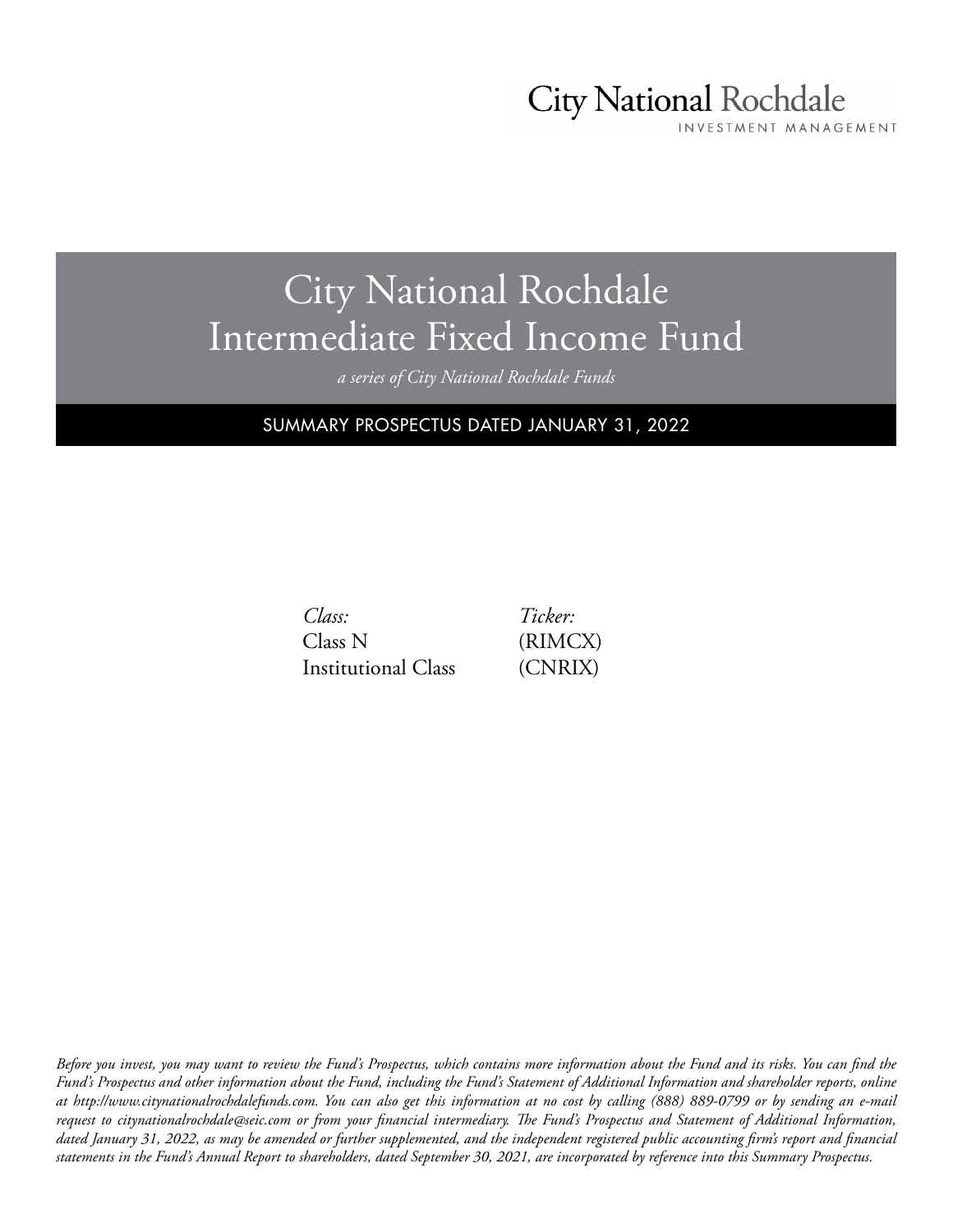## City National Rochdale

INVESTMENT MANAGEMENT

## City National Rochdale Intermediate Fixed Income Fund

*a series of City National Rochdale Funds*

SUMMARY PROSPECTUS DATED JANUARY 31, 2022

*Ticker:* (RIMCX) (CNRIX)

| Class:              |  |
|---------------------|--|
| Class N             |  |
| Institutional Class |  |

*Before you invest, you may want to review the Fund's Prospectus, which contains more information about the Fund and its risks. You can find the Fund's Prospectus and other information about the Fund, including the Fund's Statement of Additional Information and shareholder reports, online at http://www.citynationalrochdalefunds.com. You can also get this information at no cost by calling (888) 889-0799 or by sending an e-mail request to citynationalrochdale@seic.com or from your financial intermediary. The Fund's Prospectus and Statement of Additional Information, dated January 31, 2022, as may be amended or further supplemented, and the independent registered public accounting firm's report and financial statements in the Fund's Annual Report to shareholders, dated September 30, 2021, are incorporated by reference into this Summary Prospectus.*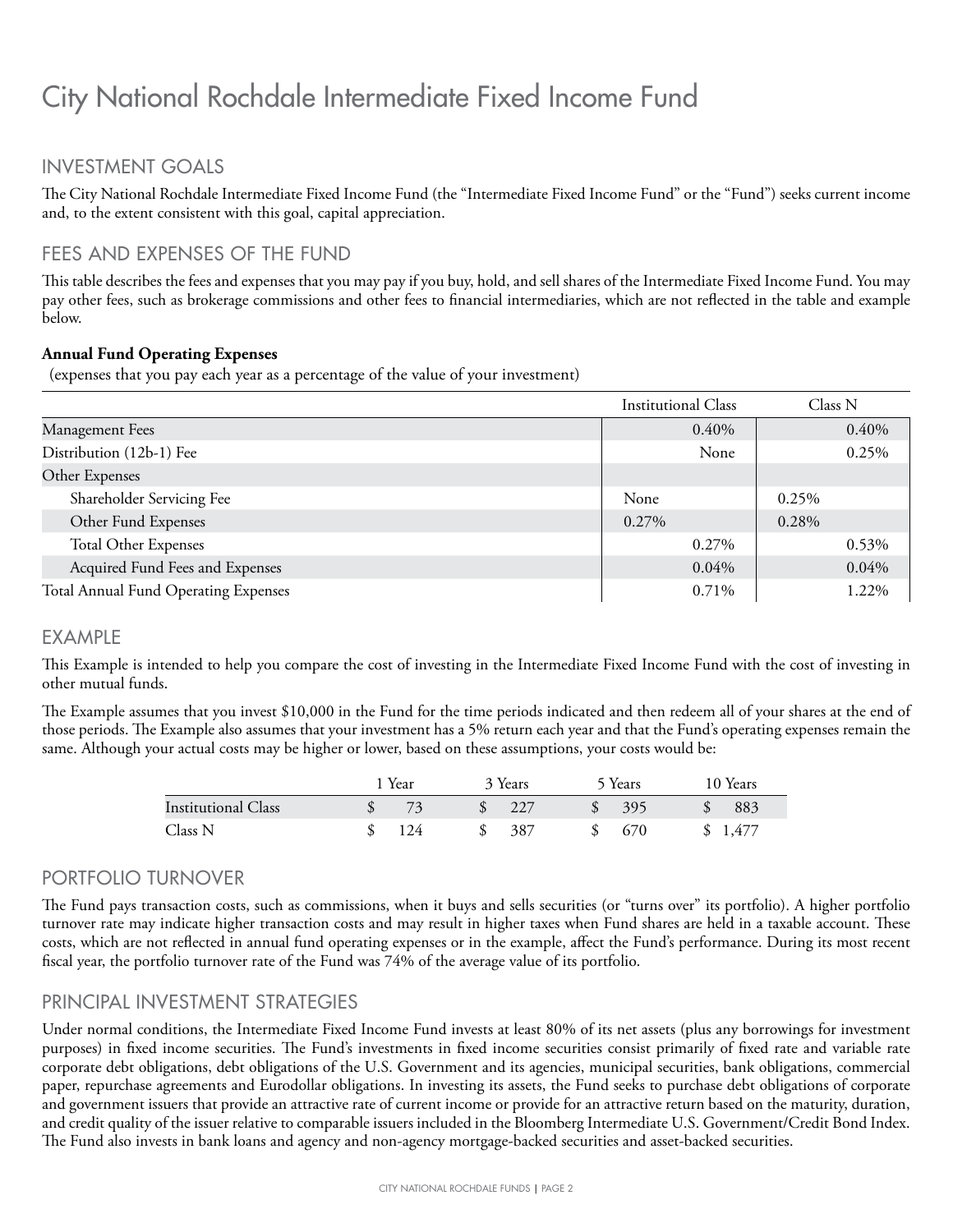### City National Rochdale Intermediate Fixed Income Fund

#### INVESTMENT GOALS

The City National Rochdale Intermediate Fixed Income Fund (the "Intermediate Fixed Income Fund" or the "Fund") seeks current income and, to the extent consistent with this goal, capital appreciation.

#### FEES AND EXPENSES OF THE FUND

This table describes the fees and expenses that you may pay if you buy, hold, and sell shares of the Intermediate Fixed Income Fund. You may pay other fees, such as brokerage commissions and other fees to financial intermediaries, which are not reflected in the table and example below.

#### **Annual Fund Operating Expenses**

(expenses that you pay each year as a percentage of the value of your investment)

|                                      | <b>Institutional Class</b> | Class N |
|--------------------------------------|----------------------------|---------|
| Management Fees                      | 0.40%                      | 0.40%   |
| Distribution (12b-1) Fee             | None                       | 0.25%   |
| Other Expenses                       |                            |         |
| Shareholder Servicing Fee            | None                       | 0.25%   |
| Other Fund Expenses                  | 0.27%                      | 0.28%   |
| <b>Total Other Expenses</b>          | 0.27%                      | 0.53%   |
| Acquired Fund Fees and Expenses      | 0.04%                      | 0.04%   |
| Total Annual Fund Operating Expenses | 0.71%                      | 1.22%   |

#### EXAMPLE

This Example is intended to help you compare the cost of investing in the Intermediate Fixed Income Fund with the cost of investing in other mutual funds.

The Example assumes that you invest \$10,000 in the Fund for the time periods indicated and then redeem all of your shares at the end of those periods. The Example also assumes that your investment has a 5% return each year and that the Fund's operating expenses remain the same. Although your actual costs may be higher or lower, based on these assumptions, your costs would be:

|                     | 1 Year |               | 3 Years | 5 Years | 10 Years |
|---------------------|--------|---------------|---------|---------|----------|
| Institutional Class | 73     | $\mathcal{S}$ | 227     | -395    | 883      |
| Class N             | 124    | S             | 387     | 670     | \$1,477  |

#### PORTFOLIO TURNOVER

The Fund pays transaction costs, such as commissions, when it buys and sells securities (or "turns over" its portfolio). A higher portfolio turnover rate may indicate higher transaction costs and may result in higher taxes when Fund shares are held in a taxable account. These costs, which are not reflected in annual fund operating expenses or in the example, affect the Fund's performance. During its most recent fiscal year, the portfolio turnover rate of the Fund was 74% of the average value of its portfolio.

#### PRINCIPAL INVESTMENT STRATEGIES

Under normal conditions, the Intermediate Fixed Income Fund invests at least 80% of its net assets (plus any borrowings for investment purposes) in fixed income securities. The Fund's investments in fixed income securities consist primarily of fixed rate and variable rate corporate debt obligations, debt obligations of the U.S. Government and its agencies, municipal securities, bank obligations, commercial paper, repurchase agreements and Eurodollar obligations. In investing its assets, the Fund seeks to purchase debt obligations of corporate and government issuers that provide an attractive rate of current income or provide for an attractive return based on the maturity, duration, and credit quality of the issuer relative to comparable issuers included in the Bloomberg Intermediate U.S. Government/Credit Bond Index. The Fund also invests in bank loans and agency and non-agency mortgage-backed securities and asset-backed securities.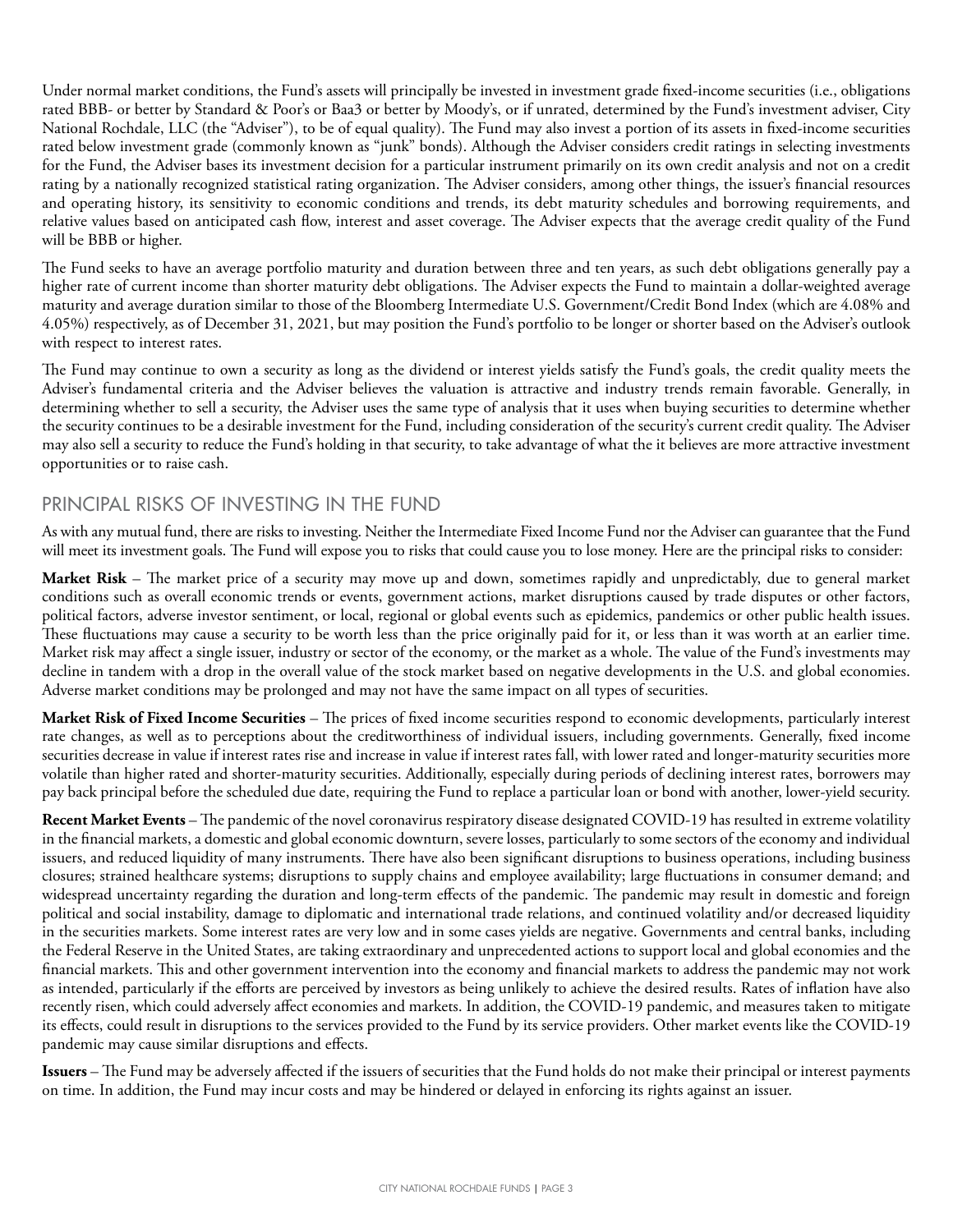Under normal market conditions, the Fund's assets will principally be invested in investment grade fixed-income securities (i.e., obligations rated BBB- or better by Standard & Poor's or Baa3 or better by Moody's, or if unrated, determined by the Fund's investment adviser, City National Rochdale, LLC (the "Adviser"), to be of equal quality). The Fund may also invest a portion of its assets in fixed-income securities rated below investment grade (commonly known as "junk" bonds). Although the Adviser considers credit ratings in selecting investments for the Fund, the Adviser bases its investment decision for a particular instrument primarily on its own credit analysis and not on a credit rating by a nationally recognized statistical rating organization. The Adviser considers, among other things, the issuer's financial resources and operating history, its sensitivity to economic conditions and trends, its debt maturity schedules and borrowing requirements, and relative values based on anticipated cash flow, interest and asset coverage. The Adviser expects that the average credit quality of the Fund will be BBB or higher.

The Fund seeks to have an average portfolio maturity and duration between three and ten years, as such debt obligations generally pay a higher rate of current income than shorter maturity debt obligations. The Adviser expects the Fund to maintain a dollar-weighted average maturity and average duration similar to those of the Bloomberg Intermediate U.S. Government/Credit Bond Index (which are 4.08% and 4.05%) respectively, as of December 31, 2021, but may position the Fund's portfolio to be longer or shorter based on the Adviser's outlook with respect to interest rates.

The Fund may continue to own a security as long as the dividend or interest yields satisfy the Fund's goals, the credit quality meets the Adviser's fundamental criteria and the Adviser believes the valuation is attractive and industry trends remain favorable. Generally, in determining whether to sell a security, the Adviser uses the same type of analysis that it uses when buying securities to determine whether the security continues to be a desirable investment for the Fund, including consideration of the security's current credit quality. The Adviser may also sell a security to reduce the Fund's holding in that security, to take advantage of what the it believes are more attractive investment opportunities or to raise cash.

#### PRINCIPAL RISKS OF INVESTING IN THE FUND

As with any mutual fund, there are risks to investing. Neither the Intermediate Fixed Income Fund nor the Adviser can guarantee that the Fund will meet its investment goals. The Fund will expose you to risks that could cause you to lose money. Here are the principal risks to consider:

**Market Risk** – The market price of a security may move up and down, sometimes rapidly and unpredictably, due to general market conditions such as overall economic trends or events, government actions, market disruptions caused by trade disputes or other factors, political factors, adverse investor sentiment, or local, regional or global events such as epidemics, pandemics or other public health issues. These fluctuations may cause a security to be worth less than the price originally paid for it, or less than it was worth at an earlier time. Market risk may affect a single issuer, industry or sector of the economy, or the market as a whole. The value of the Fund's investments may decline in tandem with a drop in the overall value of the stock market based on negative developments in the U.S. and global economies. Adverse market conditions may be prolonged and may not have the same impact on all types of securities.

**Market Risk of Fixed Income Securities** – The prices of fixed income securities respond to economic developments, particularly interest rate changes, as well as to perceptions about the creditworthiness of individual issuers, including governments. Generally, fixed income securities decrease in value if interest rates rise and increase in value if interest rates fall, with lower rated and longer-maturity securities more volatile than higher rated and shorter-maturity securities. Additionally, especially during periods of declining interest rates, borrowers may pay back principal before the scheduled due date, requiring the Fund to replace a particular loan or bond with another, lower-yield security.

**Recent Market Events** – The pandemic of the novel coronavirus respiratory disease designated COVID-19 has resulted in extreme volatility in the financial markets, a domestic and global economic downturn, severe losses, particularly to some sectors of the economy and individual issuers, and reduced liquidity of many instruments. There have also been significant disruptions to business operations, including business closures; strained healthcare systems; disruptions to supply chains and employee availability; large fluctuations in consumer demand; and widespread uncertainty regarding the duration and long-term effects of the pandemic. The pandemic may result in domestic and foreign political and social instability, damage to diplomatic and international trade relations, and continued volatility and/or decreased liquidity in the securities markets. Some interest rates are very low and in some cases yields are negative. Governments and central banks, including the Federal Reserve in the United States, are taking extraordinary and unprecedented actions to support local and global economies and the financial markets. This and other government intervention into the economy and financial markets to address the pandemic may not work as intended, particularly if the efforts are perceived by investors as being unlikely to achieve the desired results. Rates of inflation have also recently risen, which could adversely affect economies and markets. In addition, the COVID-19 pandemic, and measures taken to mitigate its effects, could result in disruptions to the services provided to the Fund by its service providers. Other market events like the COVID-19 pandemic may cause similar disruptions and effects.

**Issuers** – The Fund may be adversely affected if the issuers of securities that the Fund holds do not make their principal or interest payments on time. In addition, the Fund may incur costs and may be hindered or delayed in enforcing its rights against an issuer.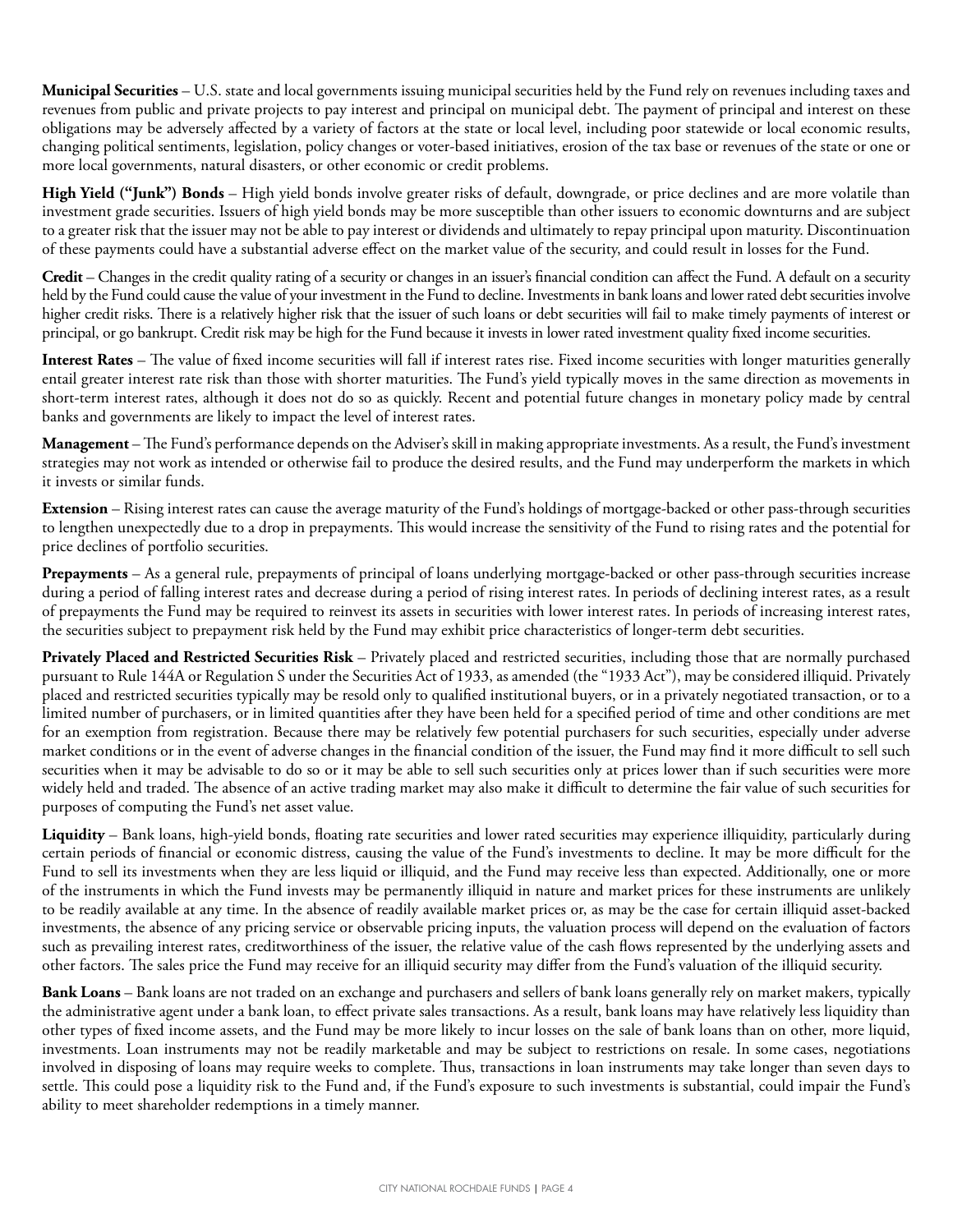**Municipal Securities** – U.S. state and local governments issuing municipal securities held by the Fund rely on revenues including taxes and revenues from public and private projects to pay interest and principal on municipal debt. The payment of principal and interest on these obligations may be adversely affected by a variety of factors at the state or local level, including poor statewide or local economic results, changing political sentiments, legislation, policy changes or voter-based initiatives, erosion of the tax base or revenues of the state or one or more local governments, natural disasters, or other economic or credit problems.

**High Yield ("Junk") Bonds** – High yield bonds involve greater risks of default, downgrade, or price declines and are more volatile than investment grade securities. Issuers of high yield bonds may be more susceptible than other issuers to economic downturns and are subject to a greater risk that the issuer may not be able to pay interest or dividends and ultimately to repay principal upon maturity. Discontinuation of these payments could have a substantial adverse effect on the market value of the security, and could result in losses for the Fund.

**Credit** – Changes in the credit quality rating of a security or changes in an issuer's financial condition can affect the Fund. A default on a security held by the Fund could cause the value of your investment in the Fund to decline. Investments in bank loans and lower rated debt securities involve higher credit risks. There is a relatively higher risk that the issuer of such loans or debt securities will fail to make timely payments of interest or principal, or go bankrupt. Credit risk may be high for the Fund because it invests in lower rated investment quality fixed income securities.

**Interest Rates** – The value of fixed income securities will fall if interest rates rise. Fixed income securities with longer maturities generally entail greater interest rate risk than those with shorter maturities. The Fund's yield typically moves in the same direction as movements in short-term interest rates, although it does not do so as quickly. Recent and potential future changes in monetary policy made by central banks and governments are likely to impact the level of interest rates.

**Management** – The Fund's performance depends on the Adviser's skill in making appropriate investments. As a result, the Fund's investment strategies may not work as intended or otherwise fail to produce the desired results, and the Fund may underperform the markets in which it invests or similar funds.

**Extension** – Rising interest rates can cause the average maturity of the Fund's holdings of mortgage-backed or other pass-through securities to lengthen unexpectedly due to a drop in prepayments. This would increase the sensitivity of the Fund to rising rates and the potential for price declines of portfolio securities.

**Prepayments** – As a general rule, prepayments of principal of loans underlying mortgage-backed or other pass-through securities increase during a period of falling interest rates and decrease during a period of rising interest rates. In periods of declining interest rates, as a result of prepayments the Fund may be required to reinvest its assets in securities with lower interest rates. In periods of increasing interest rates, the securities subject to prepayment risk held by the Fund may exhibit price characteristics of longer-term debt securities.

**Privately Placed and Restricted Securities Risk** – Privately placed and restricted securities, including those that are normally purchased pursuant to Rule 144A or Regulation S under the Securities Act of 1933, as amended (the "1933 Act"), may be considered illiquid. Privately placed and restricted securities typically may be resold only to qualified institutional buyers, or in a privately negotiated transaction, or to a limited number of purchasers, or in limited quantities after they have been held for a specified period of time and other conditions are met for an exemption from registration. Because there may be relatively few potential purchasers for such securities, especially under adverse market conditions or in the event of adverse changes in the financial condition of the issuer, the Fund may find it more difficult to sell such securities when it may be advisable to do so or it may be able to sell such securities only at prices lower than if such securities were more widely held and traded. The absence of an active trading market may also make it difficult to determine the fair value of such securities for purposes of computing the Fund's net asset value.

**Liquidity** – Bank loans, high-yield bonds, floating rate securities and lower rated securities may experience illiquidity, particularly during certain periods of financial or economic distress, causing the value of the Fund's investments to decline. It may be more difficult for the Fund to sell its investments when they are less liquid or illiquid, and the Fund may receive less than expected. Additionally, one or more of the instruments in which the Fund invests may be permanently illiquid in nature and market prices for these instruments are unlikely to be readily available at any time. In the absence of readily available market prices or, as may be the case for certain illiquid asset-backed investments, the absence of any pricing service or observable pricing inputs, the valuation process will depend on the evaluation of factors such as prevailing interest rates, creditworthiness of the issuer, the relative value of the cash flows represented by the underlying assets and other factors. The sales price the Fund may receive for an illiquid security may differ from the Fund's valuation of the illiquid security.

**Bank Loans** – Bank loans are not traded on an exchange and purchasers and sellers of bank loans generally rely on market makers, typically the administrative agent under a bank loan, to effect private sales transactions. As a result, bank loans may have relatively less liquidity than other types of fixed income assets, and the Fund may be more likely to incur losses on the sale of bank loans than on other, more liquid, investments. Loan instruments may not be readily marketable and may be subject to restrictions on resale. In some cases, negotiations involved in disposing of loans may require weeks to complete. Thus, transactions in loan instruments may take longer than seven days to settle. This could pose a liquidity risk to the Fund and, if the Fund's exposure to such investments is substantial, could impair the Fund's ability to meet shareholder redemptions in a timely manner.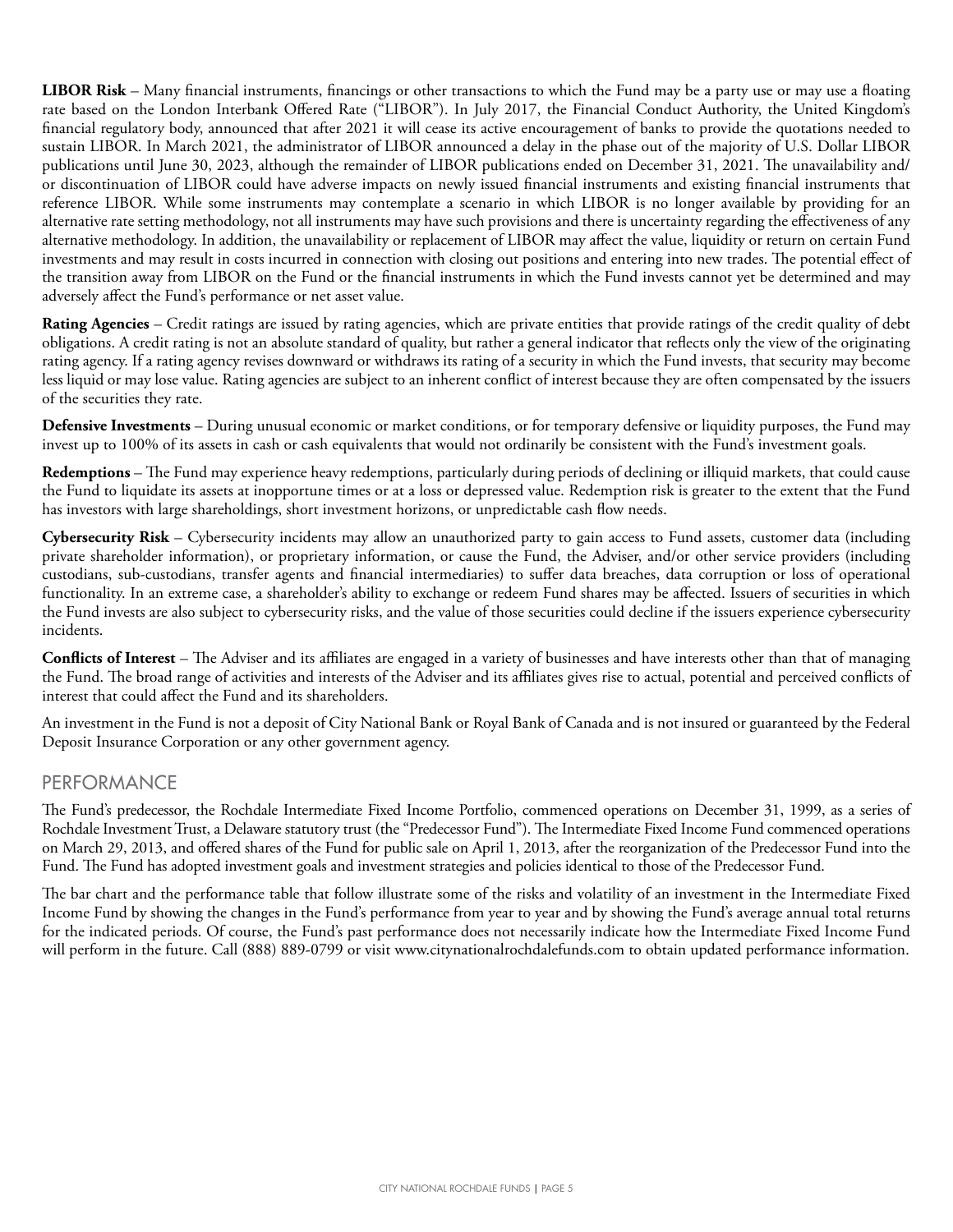**LIBOR Risk** – Many financial instruments, financings or other transactions to which the Fund may be a party use or may use a floating rate based on the London Interbank Offered Rate ("LIBOR"). In July 2017, the Financial Conduct Authority, the United Kingdom's financial regulatory body, announced that after 2021 it will cease its active encouragement of banks to provide the quotations needed to sustain LIBOR. In March 2021, the administrator of LIBOR announced a delay in the phase out of the majority of U.S. Dollar LIBOR publications until June 30, 2023, although the remainder of LIBOR publications ended on December 31, 2021. The unavailability and/ or discontinuation of LIBOR could have adverse impacts on newly issued financial instruments and existing financial instruments that reference LIBOR. While some instruments may contemplate a scenario in which LIBOR is no longer available by providing for an alternative rate setting methodology, not all instruments may have such provisions and there is uncertainty regarding the effectiveness of any alternative methodology. In addition, the unavailability or replacement of LIBOR may affect the value, liquidity or return on certain Fund investments and may result in costs incurred in connection with closing out positions and entering into new trades. The potential effect of the transition away from LIBOR on the Fund or the financial instruments in which the Fund invests cannot yet be determined and may adversely affect the Fund's performance or net asset value.

**Rating Agencies** – Credit ratings are issued by rating agencies, which are private entities that provide ratings of the credit quality of debt obligations. A credit rating is not an absolute standard of quality, but rather a general indicator that reflects only the view of the originating rating agency. If a rating agency revises downward or withdraws its rating of a security in which the Fund invests, that security may become less liquid or may lose value. Rating agencies are subject to an inherent conflict of interest because they are often compensated by the issuers of the securities they rate.

**Defensive Investments** – During unusual economic or market conditions, or for temporary defensive or liquidity purposes, the Fund may invest up to 100% of its assets in cash or cash equivalents that would not ordinarily be consistent with the Fund's investment goals.

**Redemptions** – The Fund may experience heavy redemptions, particularly during periods of declining or illiquid markets, that could cause the Fund to liquidate its assets at inopportune times or at a loss or depressed value. Redemption risk is greater to the extent that the Fund has investors with large shareholdings, short investment horizons, or unpredictable cash flow needs.

**Cybersecurity Risk** – Cybersecurity incidents may allow an unauthorized party to gain access to Fund assets, customer data (including private shareholder information), or proprietary information, or cause the Fund, the Adviser, and/or other service providers (including custodians, sub-custodians, transfer agents and financial intermediaries) to suffer data breaches, data corruption or loss of operational functionality. In an extreme case, a shareholder's ability to exchange or redeem Fund shares may be affected. Issuers of securities in which the Fund invests are also subject to cybersecurity risks, and the value of those securities could decline if the issuers experience cybersecurity incidents.

**Conflicts of Interest** – The Adviser and its affiliates are engaged in a variety of businesses and have interests other than that of managing the Fund. The broad range of activities and interests of the Adviser and its affiliates gives rise to actual, potential and perceived conflicts of interest that could affect the Fund and its shareholders.

An investment in the Fund is not a deposit of City National Bank or Royal Bank of Canada and is not insured or guaranteed by the Federal Deposit Insurance Corporation or any other government agency.

#### PERFORMANCE

The Fund's predecessor, the Rochdale Intermediate Fixed Income Portfolio, commenced operations on December 31, 1999, as a series of Rochdale Investment Trust, a Delaware statutory trust (the "Predecessor Fund"). The Intermediate Fixed Income Fund commenced operations on March 29, 2013, and offered shares of the Fund for public sale on April 1, 2013, after the reorganization of the Predecessor Fund into the Fund. The Fund has adopted investment goals and investment strategies and policies identical to those of the Predecessor Fund.

The bar chart and the performance table that follow illustrate some of the risks and volatility of an investment in the Intermediate Fixed Income Fund by showing the changes in the Fund's performance from year to year and by showing the Fund's average annual total returns for the indicated periods. Of course, the Fund's past performance does not necessarily indicate how the Intermediate Fixed Income Fund will perform in the future. Call (888) 889-0799 or visit www.citynationalrochdalefunds.com to obtain updated performance information.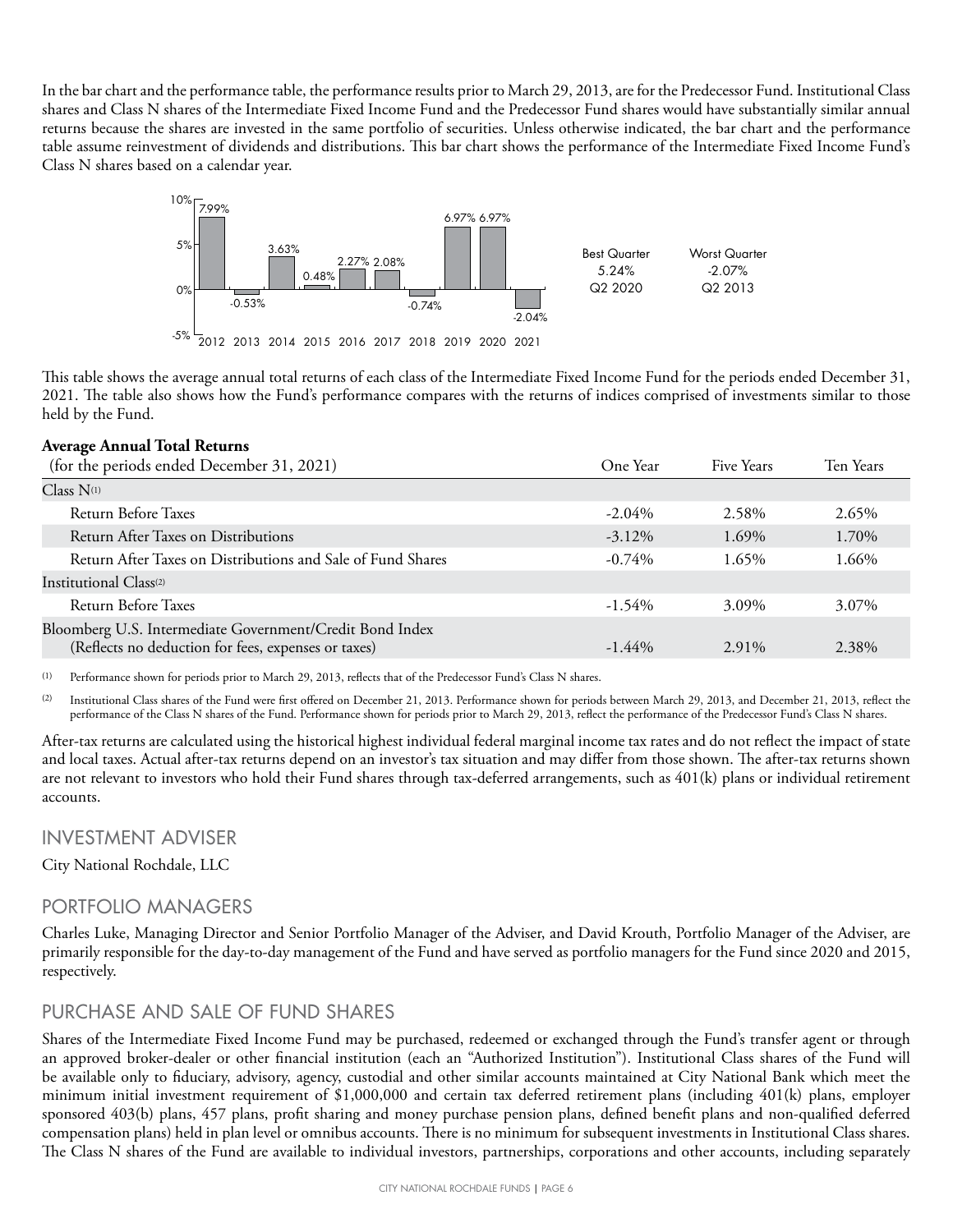In the bar chart and the performance table, the performance results prior to March 29, 2013, are for the Predecessor Fund. Institutional Class shares and Class N shares of the Intermediate Fixed Income Fund and the Predecessor Fund shares would have substantially similar annual returns because the shares are invested in the same portfolio of securities. Unless otherwise indicated, the bar chart and the performance table assume reinvestment of dividends and distributions. This bar chart shows the performance of the Intermediate Fixed Income Fund's Class N shares based on a calendar year.



This table shows the average annual total returns of each class of the Intermediate Fixed Income Fund for the periods ended December 31, 2021. The table also shows how the Fund's performance compares with the returns of indices comprised of investments similar to those held by the Fund.

#### **Average Annual Total Returns**

| (for the periods ended December 31, 2021)                                                                       | One Year  | Five Years | Ten Years |
|-----------------------------------------------------------------------------------------------------------------|-----------|------------|-----------|
| $Class N^{(1)}$                                                                                                 |           |            |           |
| Return Before Taxes                                                                                             | $-2.04\%$ | 2.58%      | 2.65%     |
| Return After Taxes on Distributions                                                                             | $-3.12\%$ | 1.69%      | 1.70%     |
| Return After Taxes on Distributions and Sale of Fund Shares                                                     | $-0.74\%$ | 1.65%      | 1.66%     |
| Institutional Class <sup>(2)</sup>                                                                              |           |            |           |
| Return Before Taxes                                                                                             | $-1.54\%$ | 3.09%      | 3.07%     |
| Bloomberg U.S. Intermediate Government/Credit Bond Index<br>(Reflects no deduction for fees, expenses or taxes) | $-1.44\%$ | 2.91%      | 2.38%     |

(1) Performance shown for periods prior to March 29, 2013, reflects that of the Predecessor Fund's Class N shares.

(2) Institutional Class shares of the Fund were first offered on December 21, 2013. Performance shown for periods between March 29, 2013, and December 21, 2013, reflect the performance of the Class N shares of the Fund. Performance shown for periods prior to March 29, 2013, reflect the performance of the Predecessor Fund's Class N shares.

After-tax returns are calculated using the historical highest individual federal marginal income tax rates and do not reflect the impact of state and local taxes. Actual after-tax returns depend on an investor's tax situation and may differ from those shown. The after-tax returns shown are not relevant to investors who hold their Fund shares through tax-deferred arrangements, such as 401(k) plans or individual retirement accounts.

#### INVESTMENT ADVISER

City National Rochdale, LLC

#### PORTFOLIO MANAGERS

Charles Luke, Managing Director and Senior Portfolio Manager of the Adviser, and David Krouth, Portfolio Manager of the Adviser, are primarily responsible for the day-to-day management of the Fund and have served as portfolio managers for the Fund since 2020 and 2015, respectively.

#### PURCHASE AND SALE OF FUND SHARES

Shares of the Intermediate Fixed Income Fund may be purchased, redeemed or exchanged through the Fund's transfer agent or through an approved broker-dealer or other financial institution (each an "Authorized Institution"). Institutional Class shares of the Fund will be available only to fiduciary, advisory, agency, custodial and other similar accounts maintained at City National Bank which meet the minimum initial investment requirement of \$1,000,000 and certain tax deferred retirement plans (including 401(k) plans, employer sponsored 403(b) plans, 457 plans, profit sharing and money purchase pension plans, defined benefit plans and non-qualified deferred compensation plans) held in plan level or omnibus accounts. There is no minimum for subsequent investments in Institutional Class shares. The Class N shares of the Fund are available to individual investors, partnerships, corporations and other accounts, including separately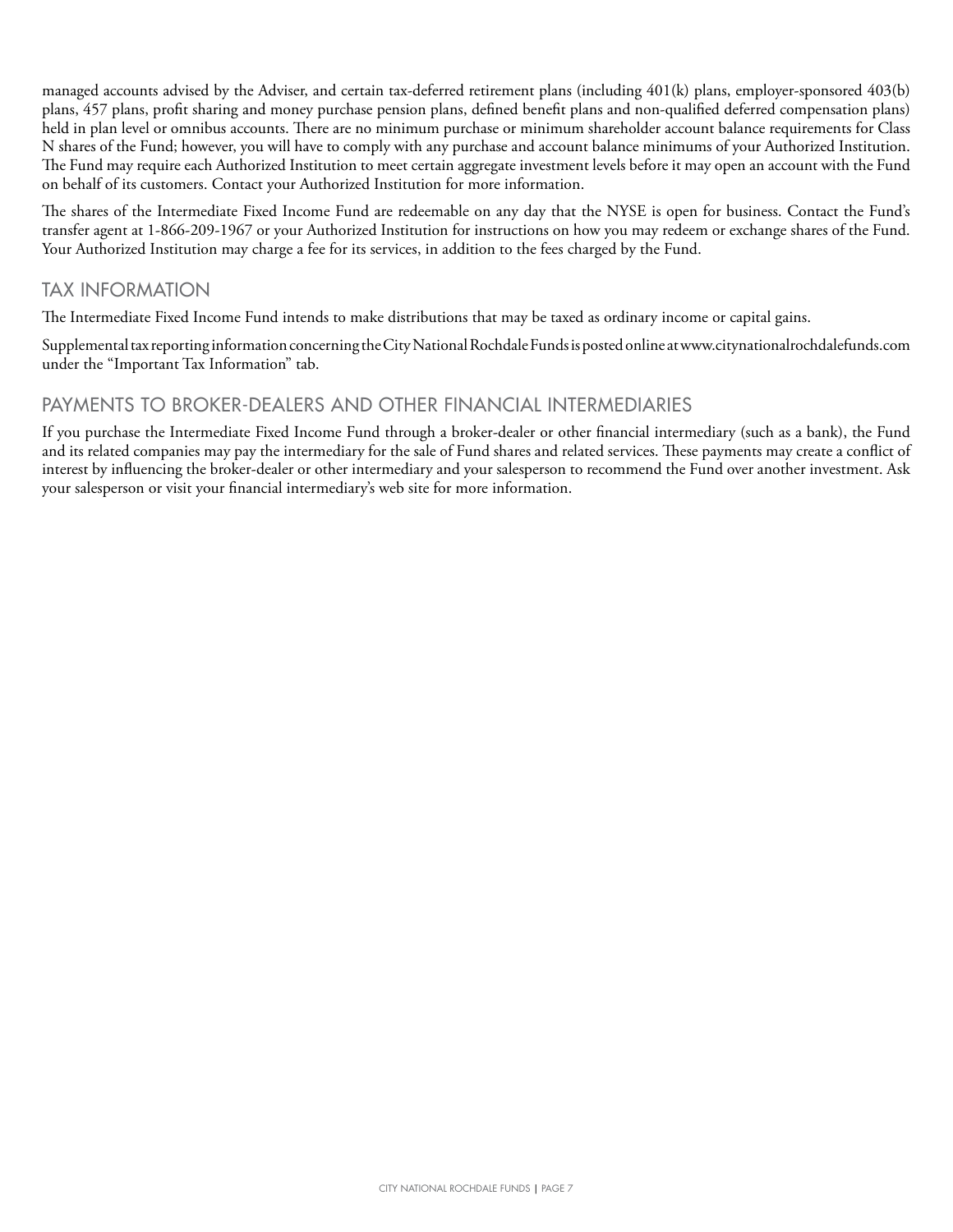managed accounts advised by the Adviser, and certain tax-deferred retirement plans (including 401(k) plans, employer-sponsored 403(b) plans, 457 plans, profit sharing and money purchase pension plans, defined benefit plans and non-qualified deferred compensation plans) held in plan level or omnibus accounts. There are no minimum purchase or minimum shareholder account balance requirements for Class N shares of the Fund; however, you will have to comply with any purchase and account balance minimums of your Authorized Institution. The Fund may require each Authorized Institution to meet certain aggregate investment levels before it may open an account with the Fund on behalf of its customers. Contact your Authorized Institution for more information.

The shares of the Intermediate Fixed Income Fund are redeemable on any day that the NYSE is open for business. Contact the Fund's transfer agent at 1-866-209-1967 or your Authorized Institution for instructions on how you may redeem or exchange shares of the Fund. Your Authorized Institution may charge a fee for its services, in addition to the fees charged by the Fund.

#### TAX INFORMATION

The Intermediate Fixed Income Fund intends to make distributions that may be taxed as ordinary income or capital gains.

Supplemental tax reporting information concerning the City National Rochdale Funds is posted online at www.citynationalrochdalefunds.com under the "Important Tax Information" tab.

#### PAYMENTS TO BROKER-DEALERS AND OTHER FINANCIAL INTERMEDIARIES

If you purchase the Intermediate Fixed Income Fund through a broker-dealer or other financial intermediary (such as a bank), the Fund and its related companies may pay the intermediary for the sale of Fund shares and related services. These payments may create a conflict of interest by influencing the broker-dealer or other intermediary and your salesperson to recommend the Fund over another investment. Ask your salesperson or visit your financial intermediary's web site for more information.